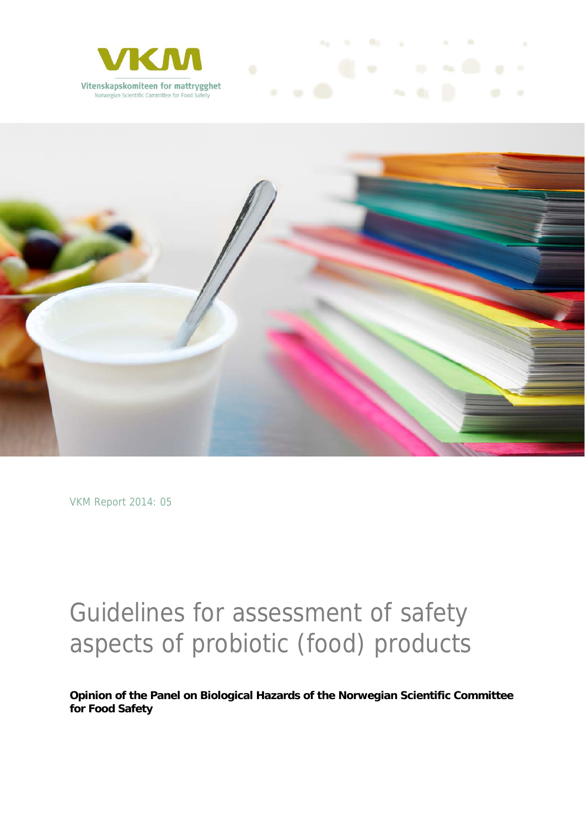



 $x_0 = 0$  Or

VKM Report 2014: 05

# Guidelines for assessment of safety aspects of probiotic (food) products

**Opinion of the Panel on Biological Hazards of the Norwegian Scientific Committee for Food Safety**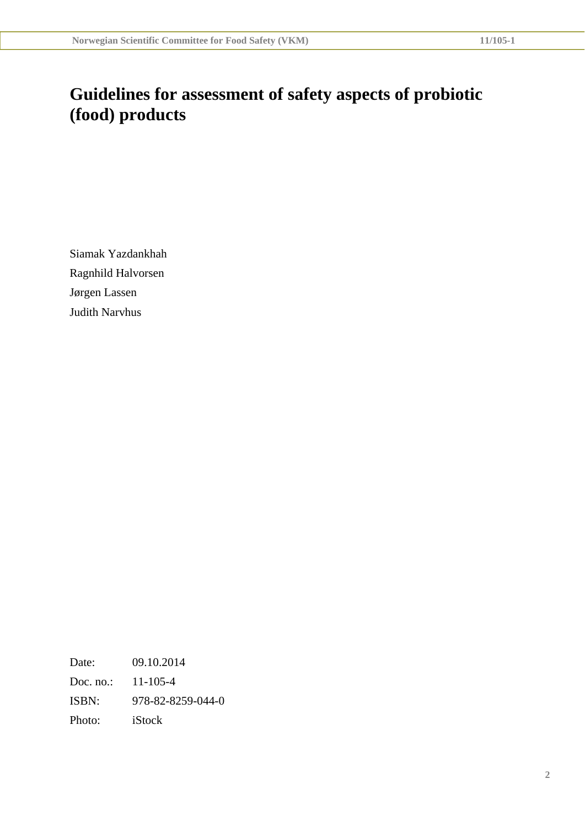# **Guidelines for assessment of safety aspects of probiotic (food) products**

Siamak Yazdankhah Ragnhild Halvorsen Jørgen Lassen Judith Narvhus

Date: 09.10.2014 Doc. no.: 11-105-4 ISBN: 978-82-8259-044-0 Photo: iStock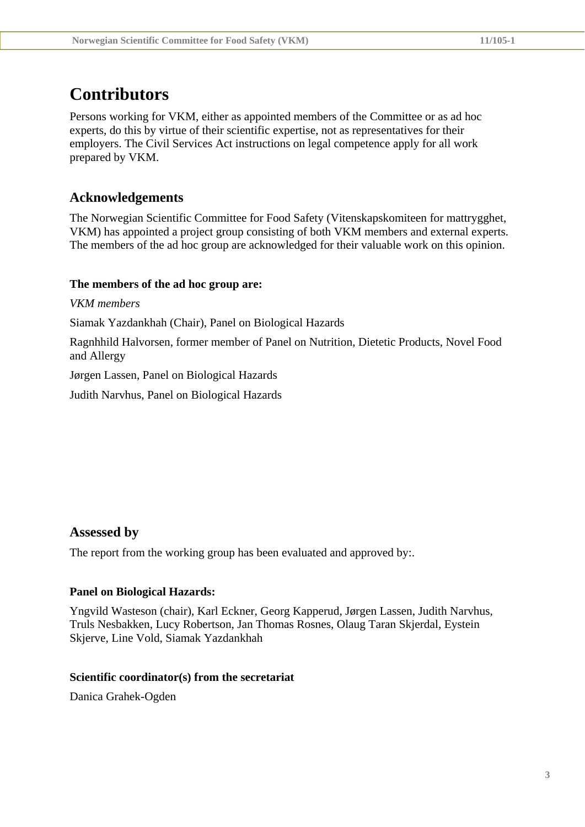# **Contributors**

Persons working for VKM, either as appointed members of the Committee or as ad hoc experts, do this by virtue of their scientific expertise, not as representatives for their employers. The Civil Services Act instructions on legal competence apply for all work prepared by VKM.

# **Acknowledgements**

The Norwegian Scientific Committee for Food Safety (Vitenskapskomiteen for mattrygghet, VKM) has appointed a project group consisting of both VKM members and external experts. The members of the ad hoc group are acknowledged for their valuable work on this opinion.

## **The members of the ad hoc group are:**

### *VKM members*

Siamak Yazdankhah (Chair), Panel on Biological Hazards

Ragnhhild Halvorsen, former member of Panel on Nutrition, Dietetic Products, Novel Food and Allergy

Jørgen Lassen, Panel on Biological Hazards

Judith Narvhus, Panel on Biological Hazards

# **Assessed by**

The report from the working group has been evaluated and approved by:.

### **Panel on Biological Hazards:**

Yngvild Wasteson (chair), Karl Eckner, Georg Kapperud, Jørgen Lassen, Judith Narvhus, Truls Nesbakken, Lucy Robertson, Jan Thomas Rosnes, Olaug Taran Skjerdal, Eystein Skjerve, Line Vold, Siamak Yazdankhah

### **Scientific coordinator(s) from the secretariat**

Danica Grahek-Ogden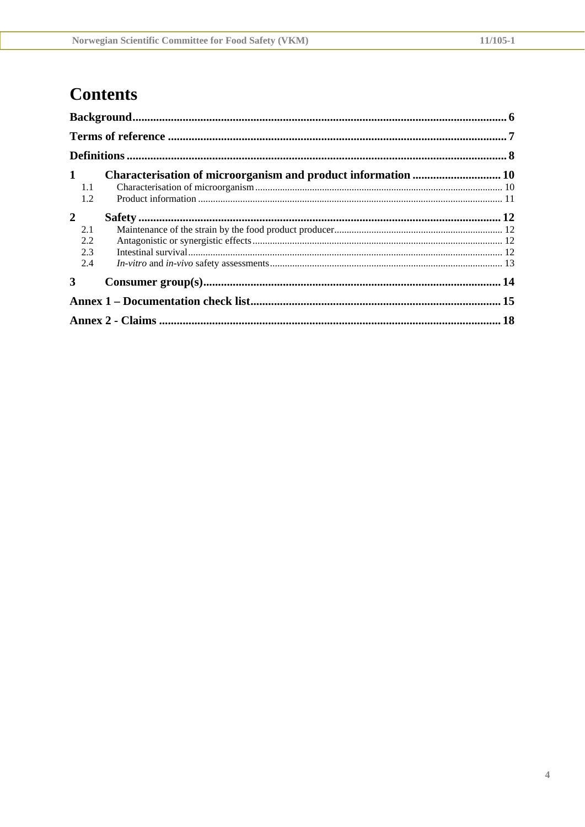# **Contents**

| $1 \quad$   | Characterisation of microorganism and product information  10 |  |
|-------------|---------------------------------------------------------------|--|
| 1.1         |                                                               |  |
| 1.2         |                                                               |  |
| $2^{\circ}$ |                                                               |  |
| 2.1         |                                                               |  |
| 2.2         |                                                               |  |
| 2.3         |                                                               |  |
| 2.4         |                                                               |  |
| 3           |                                                               |  |
|             |                                                               |  |
|             |                                                               |  |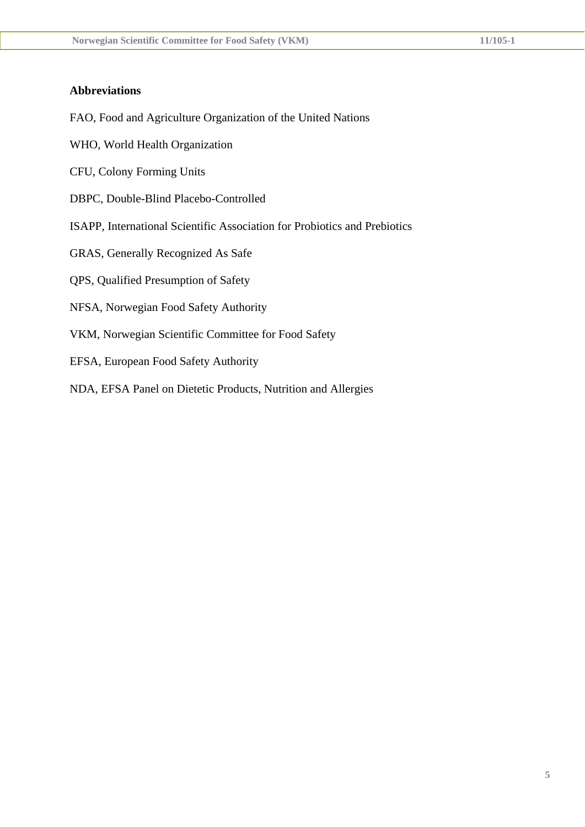#### **Abbreviations**

- FAO, Food and Agriculture Organization of the United Nations
- WHO, World Health Organization
- CFU, Colony Forming Units
- DBPC, Double-Blind Placebo-Controlled
- ISAPP, International Scientific Association for Probiotics and Prebiotics
- GRAS, Generally Recognized As Safe
- QPS, Qualified Presumption of Safety
- NFSA, Norwegian Food Safety Authority
- VKM, Norwegian Scientific Committee for Food Safety
- EFSA, European Food Safety Authority
- NDA, EFSA Panel on Dietetic Products, Nutrition and Allergies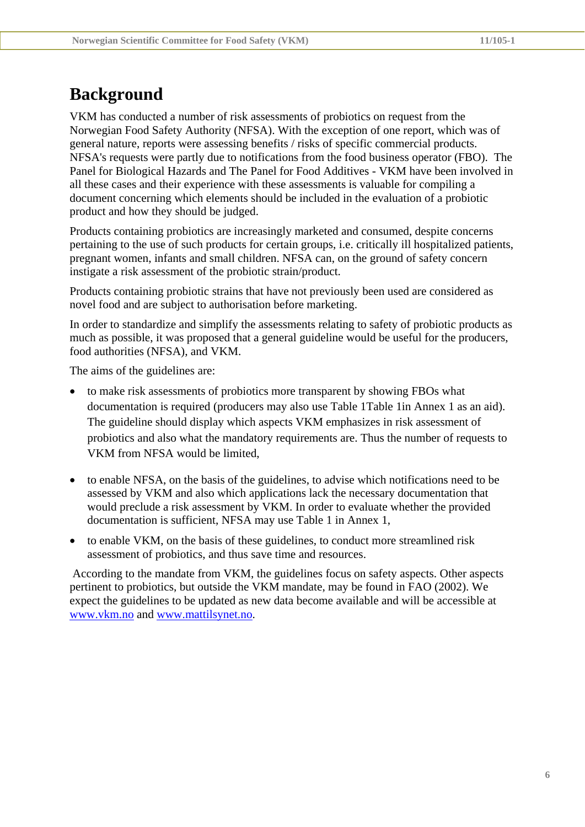# **Background**

VKM has conducted a number of risk assessments of probiotics on request from the Norwegian Food Safety Authority (NFSA). With the exception of one report, which was of general nature, reports were assessing benefits / risks of specific commercial products. NFSA's requests were partly due to notifications from the food business operator (FBO). The Panel for Biological Hazards and The Panel for Food Additives - VKM have been involved in all these cases and their experience with these assessments is valuable for compiling a document concerning which elements should be included in the evaluation of a probiotic product and how they should be judged.

Products containing probiotics are increasingly marketed and consumed, despite concerns pertaining to the use of such products for certain groups, i.e. critically ill hospitalized patients, pregnant women, infants and small children. NFSA can, on the ground of safety concern instigate a risk assessment of the probiotic strain/product.

Products containing probiotic strains that have not previously been used are considered as novel food and are subject to authorisation before marketing.

In order to standardize and simplify the assessments relating to safety of probiotic products as much as possible, it was proposed that a general guideline would be useful for the producers, food authorities (NFSA), and VKM.

The aims of the guidelines are:

- to make risk assessments of probiotics more transparent by showing FBOs what documentation is required (producers may also use Table 1Table 1in Annex 1 as an aid). The guideline should display which aspects VKM emphasizes in risk assessment of probiotics and also what the mandatory requirements are. Thus the number of requests to VKM from NFSA would be limited,
- to enable NFSA, on the basis of the guidelines, to advise which notifications need to be assessed by VKM and also which applications lack the necessary documentation that would preclude a risk assessment by VKM. In order to evaluate whether the provided documentation is sufficient, NFSA may use Table 1 in Annex 1,
- to enable VKM, on the basis of these guidelines, to conduct more streamlined risk assessment of probiotics, and thus save time and resources.

 According to the mandate from VKM, the guidelines focus on safety aspects. Other aspects pertinent to probiotics, but outside the VKM mandate, may be found in FAO (2002). We expect the guidelines to be updated as new data become available and will be accessible at www.vkm.no and www.mattilsynet.no.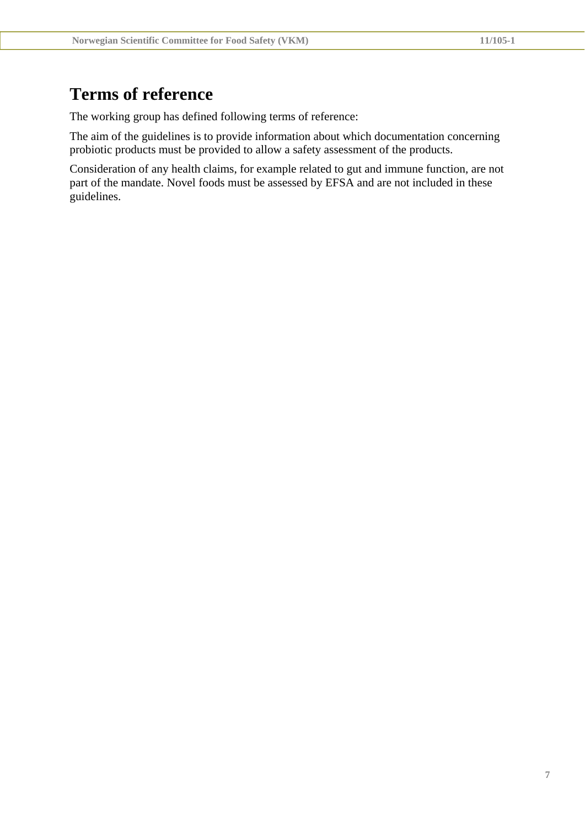# **Terms of reference**

The working group has defined following terms of reference:

The aim of the guidelines is to provide information about which documentation concerning probiotic products must be provided to allow a safety assessment of the products.

Consideration of any health claims, for example related to gut and immune function, are not part of the mandate. Novel foods must be assessed by EFSA and are not included in these guidelines.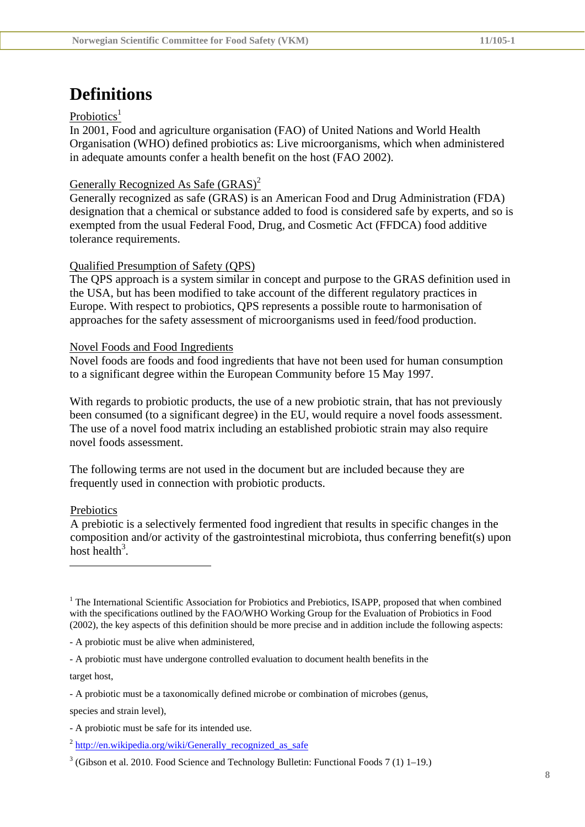# **Definitions**

#### Probiotics<sup>1</sup>

In 2001, Food and agriculture organisation (FAO) of United Nations and World Health Organisation (WHO) defined probiotics as: Live microorganisms, which when administered in adequate amounts confer a health benefit on the host (FAO 2002).

#### Generally Recognized As Safe  $(GRAS)^2$

Generally recognized as safe (GRAS) is an American Food and Drug Administration (FDA) designation that a chemical or substance added to food is considered safe by experts, and so is exempted from the usual Federal Food, Drug, and Cosmetic Act (FFDCA) food additive tolerance requirements.

#### Qualified Presumption of Safety (QPS)

The QPS approach is a system similar in concept and purpose to the GRAS definition used in the USA, but has been modified to take account of the different regulatory practices in Europe. With respect to probiotics, QPS represents a possible route to harmonisation of approaches for the safety assessment of microorganisms used in feed/food production.

#### Novel Foods and Food Ingredients

Novel foods are foods and food ingredients that have not been used for human consumption to a significant degree within the European Community before 15 May 1997.

With regards to probiotic products, the use of a new probiotic strain, that has not previously been consumed (to a significant degree) in the EU, would require a novel foods assessment. The use of a novel food matrix including an established probiotic strain may also require novel foods assessment.

The following terms are not used in the document but are included because they are frequently used in connection with probiotic products.

#### Prebiotics

<u>.</u>

A prebiotic is a selectively fermented food ingredient that results in specific changes in the composition and/or activity of the gastrointestinal microbiota, thus conferring benefit(s) upon host health<sup>3</sup>.

species and strain level),

<sup>&</sup>lt;sup>1</sup> The International Scientific Association for Probiotics and Prebiotics, ISAPP, proposed that when combined with the specifications outlined by the FAO/WHO Working Group for the Evaluation of Probiotics in Food (2002), the key aspects of this definition should be more precise and in addition include the following aspects:

<sup>-</sup> A probiotic must be alive when administered,

<sup>-</sup> A probiotic must have undergone controlled evaluation to document health benefits in the target host,

<sup>-</sup> A probiotic must be a taxonomically defined microbe or combination of microbes (genus,

<sup>-</sup> A probiotic must be safe for its intended use.

 $2$  http://en.wikipedia.org/wiki/Generally recognized as safe

 $3$  (Gibson et al. 2010. Food Science and Technology Bulletin: Functional Foods 7 (1) 1–19.)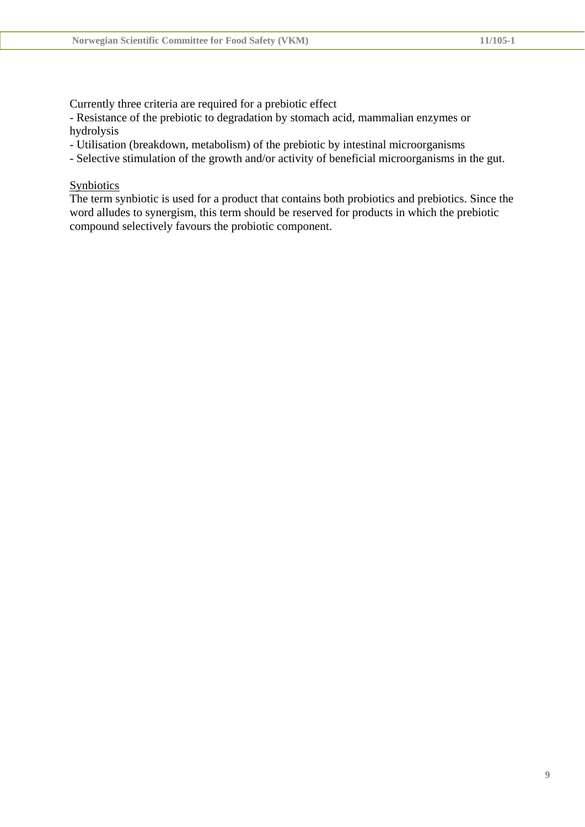Currently three criteria are required for a prebiotic effect

- Resistance of the prebiotic to degradation by stomach acid, mammalian enzymes or hydrolysis

- Utilisation (breakdown, metabolism) of the prebiotic by intestinal microorganisms

- Selective stimulation of the growth and/or activity of beneficial microorganisms in the gut.

#### **Synbiotics**

The term synbiotic is used for a product that contains both probiotics and prebiotics. Since the word alludes to synergism, this term should be reserved for products in which the prebiotic compound selectively favours the probiotic component.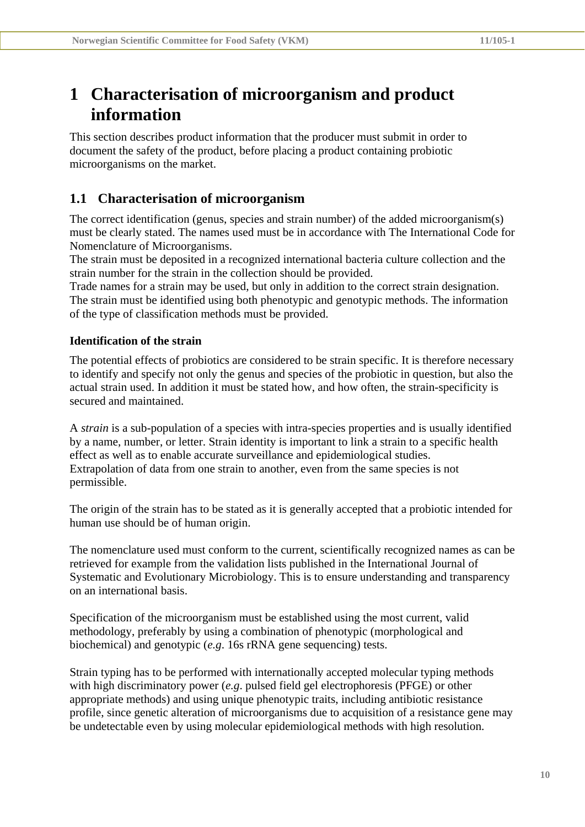# **1 Characterisation of microorganism and product information**

This section describes product information that the producer must submit in order to document the safety of the product, before placing a product containing probiotic microorganisms on the market.

# **1.1 Characterisation of microorganism**

The correct identification (genus, species and strain number) of the added microorganism(s) must be clearly stated. The names used must be in accordance with The International Code for Nomenclature of Microorganisms.

The strain must be deposited in a recognized international bacteria culture collection and the strain number for the strain in the collection should be provided.

Trade names for a strain may be used, but only in addition to the correct strain designation. The strain must be identified using both phenotypic and genotypic methods. The information of the type of classification methods must be provided.

#### **Identification of the strain**

The potential effects of probiotics are considered to be strain specific. It is therefore necessary to identify and specify not only the genus and species of the probiotic in question, but also the actual strain used. In addition it must be stated how, and how often, the strain-specificity is secured and maintained.

A *strain* is a sub-population of a species with intra-species properties and is usually identified by a name, number, or letter. Strain identity is important to link a strain to a specific health effect as well as to enable accurate surveillance and epidemiological studies. Extrapolation of data from one strain to another, even from the same species is not permissible.

The origin of the strain has to be stated as it is generally accepted that a probiotic intended for human use should be of human origin.

The nomenclature used must conform to the current, scientifically recognized names as can be retrieved for example from the validation lists published in the International Journal of Systematic and Evolutionary Microbiology. This is to ensure understanding and transparency on an international basis.

Specification of the microorganism must be established using the most current, valid methodology, preferably by using a combination of phenotypic (morphological and biochemical) and genotypic (*e.g*. 16s rRNA gene sequencing) tests.

Strain typing has to be performed with internationally accepted molecular typing methods with high discriminatory power (*e.g*. pulsed field gel electrophoresis (PFGE) or other appropriate methods) and using unique phenotypic traits, including antibiotic resistance profile, since genetic alteration of microorganisms due to acquisition of a resistance gene may be undetectable even by using molecular epidemiological methods with high resolution.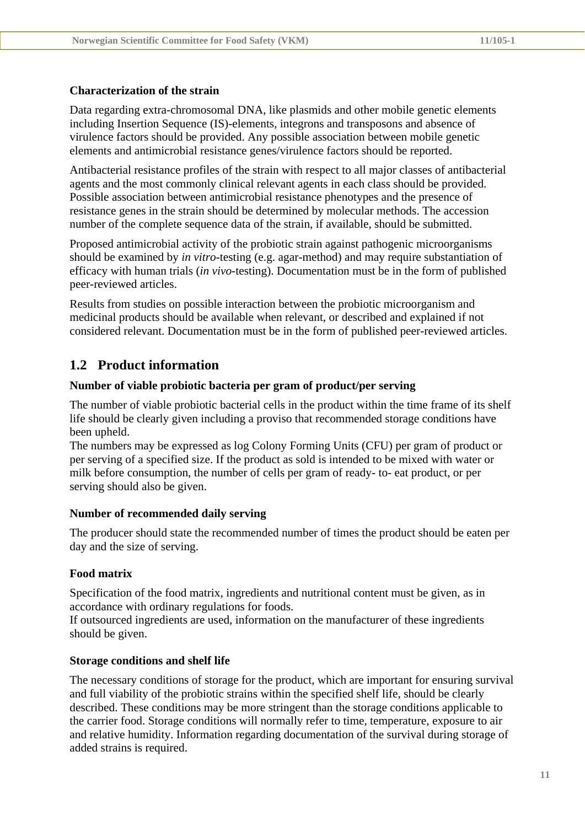Data regarding extra-chromosomal DNA, like plasmids and other mobile genetic elements including Insertion Sequence (IS)-elements, integrons and transposons and absence of virulence factors should be provided. Any possible association between mobile genetic elements and antimicrobial resistance genes/virulence factors should be reported.

Antibacterial resistance profiles of the strain with respect to all major classes of antibacterial agents and the most commonly clinical relevant agents in each class should be provided. Possible association between antimicrobial resistance phenotypes and the presence of resistance genes in the strain should be determined by molecular methods. The accession number of the complete sequence data of the strain, if available, should be submitted.

Proposed antimicrobial activity of the probiotic strain against pathogenic microorganisms should be examined by *in vitro*-testing (e.g. agar-method) and may require substantiation of efficacy with human trials (*in vivo*-testing). Documentation must be in the form of published peer-reviewed articles.

Results from studies on possible interaction between the probiotic microorganism and medicinal products should be available when relevant, or described and explained if not considered relevant. Documentation must be in the form of published peer-reviewed articles.

# **1.2 Product information**

### **Number of viable probiotic bacteria per gram of product/per serving**

The number of viable probiotic bacterial cells in the product within the time frame of its shelf life should be clearly given including a proviso that recommended storage conditions have been upheld.

The numbers may be expressed as log Colony Forming Units (CFU) per gram of product or per serving of a specified size. If the product as sold is intended to be mixed with water or milk before consumption, the number of cells per gram of ready- to- eat product, or per serving should also be given.

# **Number of recommended daily serving**

The producer should state the recommended number of times the product should be eaten per day and the size of serving.

# **Food matrix**

Specification of the food matrix, ingredients and nutritional content must be given, as in accordance with ordinary regulations for foods.

If outsourced ingredients are used, information on the manufacturer of these ingredients should be given.

### **Storage conditions and shelf life**

The necessary conditions of storage for the product, which are important for ensuring survival and full viability of the probiotic strains within the specified shelf life, should be clearly described. These conditions may be more stringent than the storage conditions applicable to the carrier food. Storage conditions will normally refer to time, temperature, exposure to air and relative humidity. Information regarding documentation of the survival during storage of added strains is required.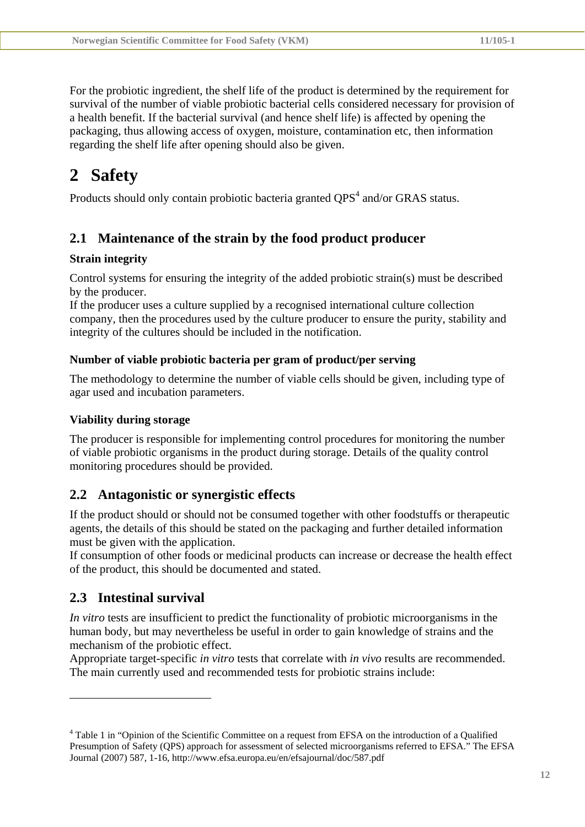For the probiotic ingredient, the shelf life of the product is determined by the requirement for survival of the number of viable probiotic bacterial cells considered necessary for provision of a health benefit. If the bacterial survival (and hence shelf life) is affected by opening the packaging, thus allowing access of oxygen, moisture, contamination etc, then information regarding the shelf life after opening should also be given.

# **2 Safety**

Products should only contain probiotic bacteria granted  $QPS<sup>4</sup>$  and/or GRAS status.

# **2.1 Maintenance of the strain by the food product producer**

## **Strain integrity**

Control systems for ensuring the integrity of the added probiotic strain(s) must be described by the producer.

If the producer uses a culture supplied by a recognised international culture collection company, then the procedures used by the culture producer to ensure the purity, stability and integrity of the cultures should be included in the notification.

## **Number of viable probiotic bacteria per gram of product/per serving**

The methodology to determine the number of viable cells should be given, including type of agar used and incubation parameters.

### **Viability during storage**

The producer is responsible for implementing control procedures for monitoring the number of viable probiotic organisms in the product during storage. Details of the quality control monitoring procedures should be provided.

# **2.2 Antagonistic or synergistic effects**

If the product should or should not be consumed together with other foodstuffs or therapeutic agents, the details of this should be stated on the packaging and further detailed information must be given with the application.

If consumption of other foods or medicinal products can increase or decrease the health effect of the product, this should be documented and stated.

# **2.3 Intestinal survival**

1

*In vitro* tests are insufficient to predict the functionality of probiotic microorganisms in the human body, but may nevertheless be useful in order to gain knowledge of strains and the mechanism of the probiotic effect.

Appropriate target-specific *in vitro* tests that correlate with *in vivo* results are recommended. The main currently used and recommended tests for probiotic strains include:

<sup>&</sup>lt;sup>4</sup> Table 1 in "Opinion of the Scientific Committee on a request from EFSA on the introduction of a Qualified Presumption of Safety (QPS) approach for assessment of selected microorganisms referred to EFSA." The EFSA Journal (2007) 587, 1-16, http://www.efsa.europa.eu/en/efsajournal/doc/587.pdf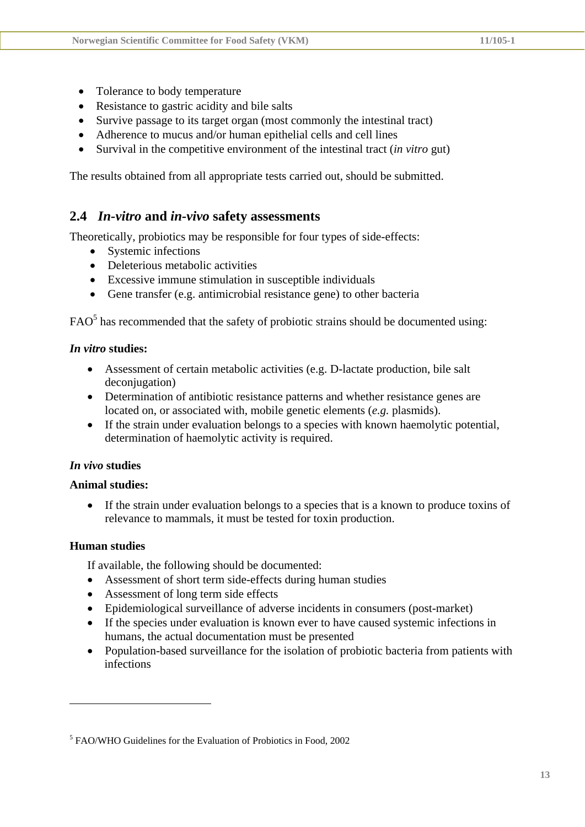- Tolerance to body temperature
- Resistance to gastric acidity and bile salts
- Survive passage to its target organ (most commonly the intestinal tract)
- Adherence to mucus and/or human epithelial cells and cell lines
- Survival in the competitive environment of the intestinal tract (*in vitro* gut)

The results obtained from all appropriate tests carried out, should be submitted.

# **2.4** *In-vitro* **and** *in-vivo* **safety assessments**

Theoretically, probiotics may be responsible for four types of side-effects:

- Systemic infections
- Deleterious metabolic activities
- Excessive immune stimulation in susceptible individuals
- Gene transfer (e.g. antimicrobial resistance gene) to other bacteria

 $FAO<sup>5</sup>$  has recommended that the safety of probiotic strains should be documented using:

### *In vitro* **studies:**

- Assessment of certain metabolic activities (e.g. D-lactate production, bile salt deconjugation)
- Determination of antibiotic resistance patterns and whether resistance genes are located on, or associated with, mobile genetic elements (*e.g.* plasmids).
- If the strain under evaluation belongs to a species with known haemolytic potential, determination of haemolytic activity is required.

### *In vivo* **studies**

### **Animal studies:**

 If the strain under evaluation belongs to a species that is a known to produce toxins of relevance to mammals, it must be tested for toxin production.

### **Human studies**

1

If available, the following should be documented:

- Assessment of short term side-effects during human studies
- Assessment of long term side effects
- Epidemiological surveillance of adverse incidents in consumers (post-market)
- If the species under evaluation is known ever to have caused systemic infections in humans, the actual documentation must be presented
- Population-based surveillance for the isolation of probiotic bacteria from patients with infections

<sup>5</sup> FAO/WHO Guidelines for the Evaluation of Probiotics in Food, 2002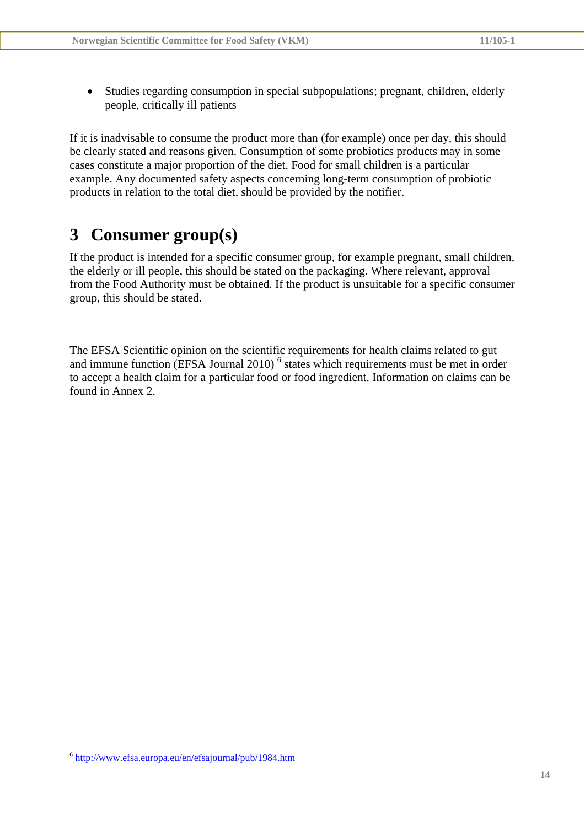Studies regarding consumption in special subpopulations; pregnant, children, elderly people, critically ill patients

If it is inadvisable to consume the product more than (for example) once per day, this should be clearly stated and reasons given. Consumption of some probiotics products may in some cases constitute a major proportion of the diet. Food for small children is a particular example. Any documented safety aspects concerning long-term consumption of probiotic products in relation to the total diet, should be provided by the notifier.

# **3 Consumer group(s)**

If the product is intended for a specific consumer group, for example pregnant, small children, the elderly or ill people, this should be stated on the packaging. Where relevant, approval from the Food Authority must be obtained. If the product is unsuitable for a specific consumer group, this should be stated.

The EFSA Scientific opinion on the scientific requirements for health claims related to gut and immune function (EFSA Journal 2010)<sup>6</sup> states which requirements must be met in order to accept a health claim for a particular food or food ingredient. Information on claims can be found in Annex 2.

<u>.</u>

<sup>6</sup> http://www.efsa.europa.eu/en/efsajournal/pub/1984.htm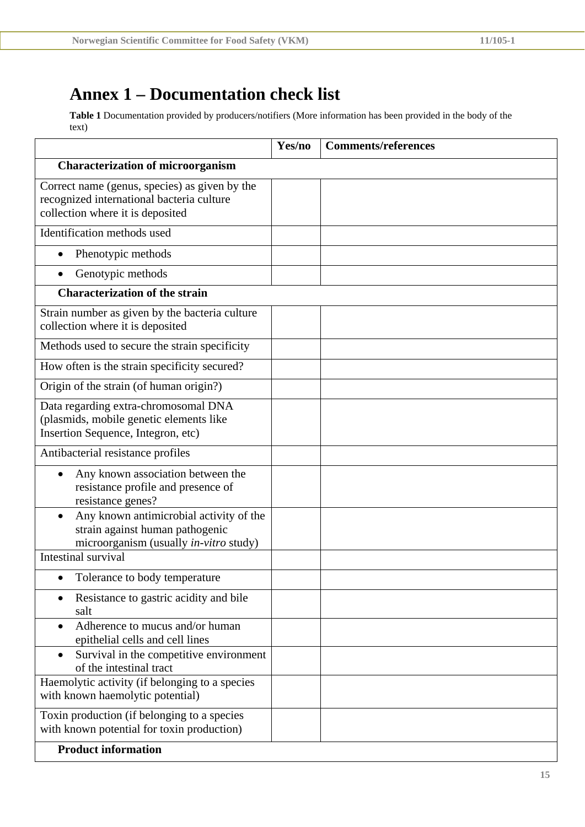# **Annex 1 – Documentation check list**

**Table 1** Documentation provided by producers/notifiers (More information has been provided in the body of the text)

|                                                                                                                                | Yes/no | <b>Comments/references</b> |
|--------------------------------------------------------------------------------------------------------------------------------|--------|----------------------------|
| <b>Characterization of microorganism</b>                                                                                       |        |                            |
| Correct name (genus, species) as given by the<br>recognized international bacteria culture<br>collection where it is deposited |        |                            |
| Identification methods used                                                                                                    |        |                            |
| Phenotypic methods<br>$\bullet$                                                                                                |        |                            |
| Genotypic methods                                                                                                              |        |                            |
| <b>Characterization of the strain</b>                                                                                          |        |                            |
| Strain number as given by the bacteria culture<br>collection where it is deposited                                             |        |                            |
| Methods used to secure the strain specificity                                                                                  |        |                            |
| How often is the strain specificity secured?                                                                                   |        |                            |
| Origin of the strain (of human origin?)                                                                                        |        |                            |
| Data regarding extra-chromosomal DNA<br>(plasmids, mobile genetic elements like<br>Insertion Sequence, Integron, etc)          |        |                            |
| Antibacterial resistance profiles                                                                                              |        |                            |
| Any known association between the<br>resistance profile and presence of<br>resistance genes?                                   |        |                            |
| Any known antimicrobial activity of the<br>strain against human pathogenic<br>microorganism (usually in-vitro study)           |        |                            |
| Intestinal survival                                                                                                            |        |                            |
| Tolerance to body temperature                                                                                                  |        |                            |
| Resistance to gastric acidity and bile<br>salt                                                                                 |        |                            |
| Adherence to mucus and/or human<br>$\bullet$<br>epithelial cells and cell lines                                                |        |                            |
| Survival in the competitive environment<br>$\bullet$<br>of the intestinal tract                                                |        |                            |
| Haemolytic activity (if belonging to a species<br>with known haemolytic potential)                                             |        |                            |
| Toxin production (if belonging to a species<br>with known potential for toxin production)                                      |        |                            |
| <b>Product information</b>                                                                                                     |        |                            |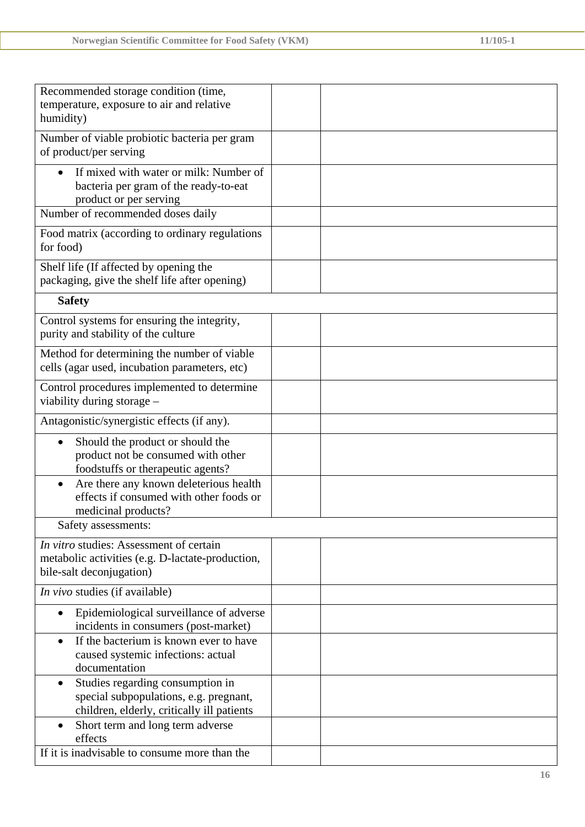| Recommended storage condition (time,<br>temperature, exposure to air and relative<br>humidity)                                |  |
|-------------------------------------------------------------------------------------------------------------------------------|--|
| Number of viable probiotic bacteria per gram<br>of product/per serving                                                        |  |
| If mixed with water or milk: Number of<br>bacteria per gram of the ready-to-eat<br>product or per serving                     |  |
| Number of recommended doses daily                                                                                             |  |
| Food matrix (according to ordinary regulations<br>for food)                                                                   |  |
| Shelf life (If affected by opening the<br>packaging, give the shelf life after opening)                                       |  |
| <b>Safety</b>                                                                                                                 |  |
| Control systems for ensuring the integrity,<br>purity and stability of the culture                                            |  |
| Method for determining the number of viable<br>cells (agar used, incubation parameters, etc)                                  |  |
| Control procedures implemented to determine<br>viability during storage -                                                     |  |
| Antagonistic/synergistic effects (if any).                                                                                    |  |
| Should the product or should the<br>$\bullet$<br>product not be consumed with other<br>foodstuffs or therapeutic agents?      |  |
| Are there any known deleterious health<br>$\bullet$<br>effects if consumed with other foods or<br>medicinal products?         |  |
| Safety assessments:                                                                                                           |  |
| In vitro studies: Assessment of certain<br>metabolic activities (e.g. D-lactate-production,<br>bile-salt deconjugation)       |  |
| In vivo studies (if available)                                                                                                |  |
| Epidemiological surveillance of adverse<br>$\bullet$<br>incidents in consumers (post-market)                                  |  |
| If the bacterium is known ever to have<br>$\bullet$<br>caused systemic infections: actual<br>documentation                    |  |
| Studies regarding consumption in<br>٠<br>special subpopulations, e.g. pregnant,<br>children, elderly, critically ill patients |  |
| Short term and long term adverse<br>$\bullet$<br>effects                                                                      |  |
| If it is inadvisable to consume more than the                                                                                 |  |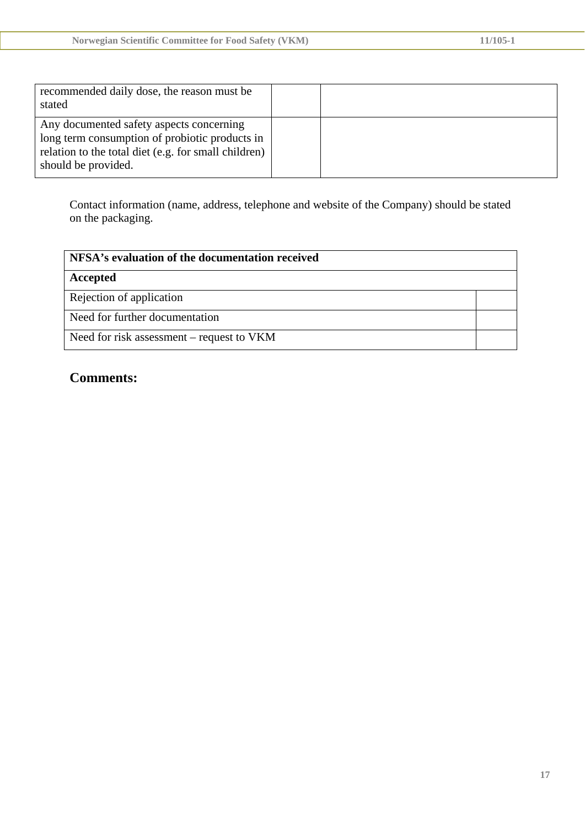| recommended daily dose, the reason must be<br>stated                                                                                                                      |  |
|---------------------------------------------------------------------------------------------------------------------------------------------------------------------------|--|
| Any documented safety aspects concerning<br>long term consumption of probiotic products in<br>relation to the total diet (e.g. for small children)<br>should be provided. |  |

Contact information (name, address, telephone and website of the Company) should be stated on the packaging.

| NFSA's evaluation of the documentation received |  |  |  |
|-------------------------------------------------|--|--|--|
| Accepted                                        |  |  |  |
| Rejection of application                        |  |  |  |
| Need for further documentation                  |  |  |  |
| Need for risk assessment – request to VKM       |  |  |  |

# **Comments:**